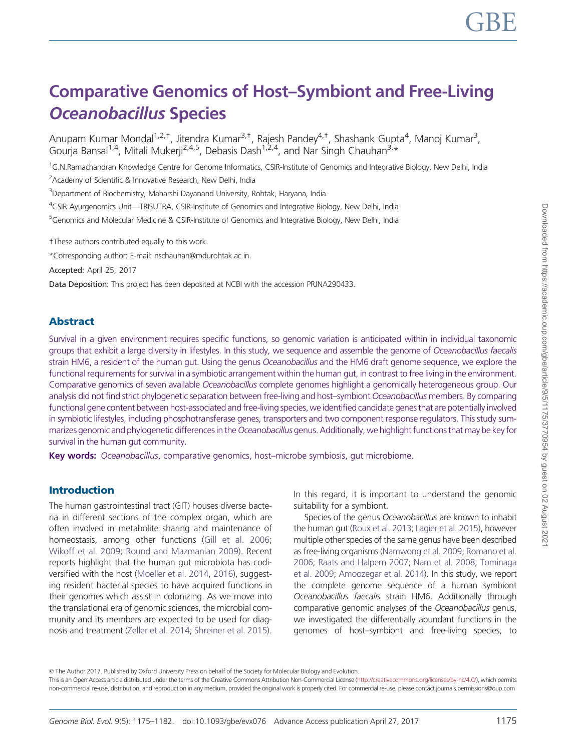# Comparative Genomics of Host–Symbiont and Free-Living Oceanobacillus Species

Anupam Kumar Mondal<sup>1,2,†</sup>, Jitendra Kumar<sup>3,†</sup>, Rajesh Pandey<sup>4,†</sup>, Shashank Gupta<sup>4</sup>, Manoj Kumar<sup>3</sup>, Gourja Bansal<sup>1,4</sup>, Mitali Mukerji<sup>2,4,5</sup>, Debasis Dash<sup>1,2,4</sup>, and Nar Singh Chauhan<sup>3,\*</sup>

<sup>1</sup>G.N.Ramachandran Knowledge Centre for Genome Informatics, CSIR-Institute of Genomics and Integrative Biology, New Delhi, India

<sup>2</sup> Academy of Scientific & Innovative Research, New Delhi, India

<sup>3</sup>Department of Biochemistry, Maharshi Dayanand University, Rohtak, Haryana, India

<sup>4</sup>CSIR Ayurgenomics Unit—TRISUTRA, CSIR-Institute of Genomics and Integrative Biology, New Delhi, India

<sup>5</sup>Genomics and Molecular Medicine & CSIR-Institute of Genomics and Integrative Biology, New Delhi, India

†These authors contributed equally to this work.

\*Corresponding author: E-mail: nschauhan@mdurohtak.ac.in.

Accepted: April 25, 2017

Data Deposition: This project has been deposited at NCBI with the accession PRJNA290433.

## Abstract

Survival in a given environment requires specific functions, so genomic variation is anticipated within in individual taxonomic groups that exhibit a large diversity in lifestyles. In this study, we sequence and assemble the genome of Oceanobacillus faecalis strain HM6, a resident of the human gut. Using the genus Oceanobacillus and the HM6 draft genome sequence, we explore the functional requirements for survival in a symbiotic arrangement within the human gut, in contrast to free living in the environment. Comparative genomics of seven available Oceanobacillus complete genomes highlight a genomically heterogeneous group. Our analysis did not find strict phylogenetic separation between free-living and host–symbiont Oceanobacillus members. By comparing functional gene content between host-associated and free-living species, we identified candidate genes that are potentially involved in symbiotic lifestyles, including phosphotransferase genes, transporters and two component response regulators. This study summarizes genomic and phylogenetic differences in the Oceanobacillus genus. Additionally, we highlight functions that may be key for survival in the human gut community.

Key words: Oceanobacillus, comparative genomics, host–microbe symbiosis, gut microbiome.

## Introduction

The human gastrointestinal tract (GIT) houses diverse bacteria in different sections of the complex organ, which are often involved in metabolite sharing and maintenance of homeostasis, among other functions (Gill et al. 2006; Wikoff et al. 2009; Round and Mazmanian 2009). Recent reports highlight that the human gut microbiota has codiversified with the host (Moeller et al. 2014, 2016), suggesting resident bacterial species to have acquired functions in their genomes which assist in colonizing. As we move into the translational era of genomic sciences, the microbial community and its members are expected to be used for diagnosis and treatment (Zeller et al. 2014; Shreiner et al. 2015).

In this regard, it is important to understand the genomic suitability for a symbiont.

Species of the genus Oceanobacillus are known to inhabit the human gut (Roux et al. 2013; Lagier et al. 2015), however multiple other species of the same genus have been described as free-living organisms (Namwong et al. 2009; Romano et al. 2006; Raats and Halpern 2007; Nam et al. 2008; Tominaga et al. 2009; Amoozegar et al. 2014). In this study, we report the complete genome sequence of a human symbiont Oceanobacillus faecalis strain HM6. Additionally through comparative genomic analyses of the Oceanobacillus genus, we investigated the differentially abundant functions in the genomes of host–symbiont and free-living species, to

© The Author 2017. Published by Oxford University Press on behalf of the Society for Molecular Biology and Evolution.

This is an Open Access article distributed under the terms of the Creative Commons Attribution Non-Commercial License (http://creativecommons.org/licenses/by-nc/4.0/), which permits non-commercial re-use, distribution, and reproduction in any medium, provided the original work is properly cited. For commercial re-use, please contact journals.permissions@oup.com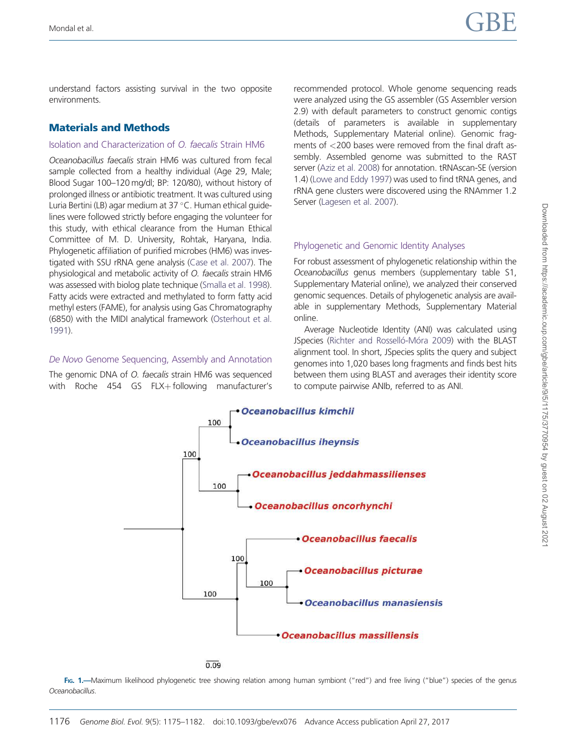understand factors assisting survival in the two opposite environments.

## Materials and Methods

#### Isolation and Characterization of O. faecalis Strain HM6

Oceanobacillus faecalis strain HM6 was cultured from fecal sample collected from a healthy individual (Age 29, Male; Blood Sugar 100–120 mg/dl; BP: 120/80), without history of prolonged illness or antibiotic treatment. It was cultured using Luria Bertini (LB) agar medium at 37 °C. Human ethical guidelines were followed strictly before engaging the volunteer for this study, with ethical clearance from the Human Ethical Committee of M. D. University, Rohtak, Haryana, India. Phylogenetic affiliation of purified microbes (HM6) was investigated with SSU rRNA gene analysis (Case et al. 2007). The physiological and metabolic activity of O. faecalis strain HM6 was assessed with biolog plate technique (Smalla et al. 1998). Fatty acids were extracted and methylated to form fatty acid methyl esters (FAME), for analysis using Gas Chromatography (6850) with the MIDI analytical framework (Osterhout et al. 1991).

#### De Novo Genome Sequencing, Assembly and Annotation

The genomic DNA of O. faecalis strain HM6 was sequenced with Roche 454 GS FLX $+$  following manufacturer's recommended protocol. Whole genome sequencing reads were analyzed using the GS assembler (GS Assembler version 2.9) with default parameters to construct genomic contigs (details of parameters is available in supplementary Methods, Supplementary Material online). Genomic fragments of <200 bases were removed from the final draft assembly. Assembled genome was submitted to the RAST server (Aziz et al. 2008) for annotation. tRNAscan-SE (version 1.4) (Lowe and Eddy 1997) was used to find tRNA genes, and rRNA gene clusters were discovered using the RNAmmer 1.2 Server (Lagesen et al. 2007).

## Phylogenetic and Genomic Identity Analyses

For robust assessment of phylogenetic relationship within the Oceanobacillus genus members (supplementary table S1, Supplementary Material online), we analyzed their conserved genomic sequences. Details of phylogenetic analysis are available in supplementary Methods, Supplementary Material online.

Average Nucleotide Identity (ANI) was calculated using JSpecies (Richter and Rosselló-Móra 2009) with the BLAST alignment tool. In short, JSpecies splits the query and subject genomes into 1,020 bases long fragments and finds best hits between them using BLAST and averages their identity score to compute pairwise ANIb, referred to as ANI.



 $0.09$ 

FIG. 1.—Maximum likelihood phylogenetic tree showing relation among human symbiont ("red") and free living ("blue") species of the genus Oceanobacillus.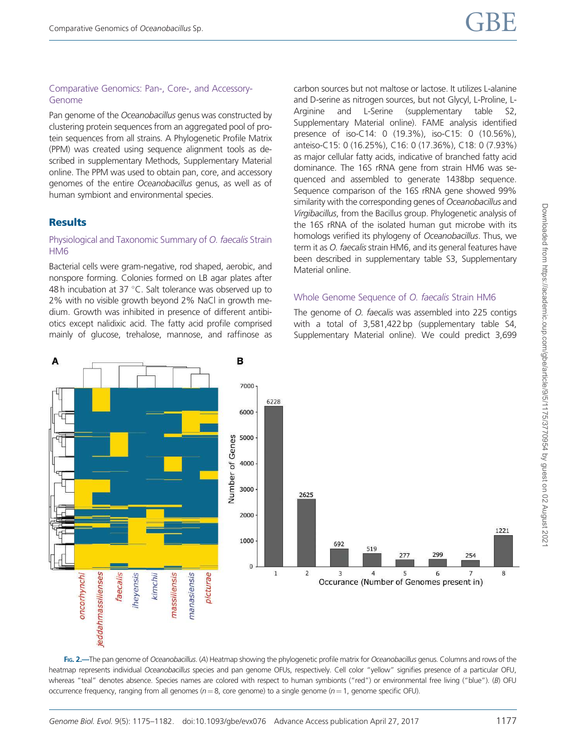### Comparative Genomics: Pan-, Core-, and Accessory-Genome

Pan genome of the Oceanobacillus genus was constructed by clustering protein sequences from an aggregated pool of protein sequences from all strains. A Phylogenetic Profile Matrix (PPM) was created using sequence alignment tools as described in supplementary Methods, Supplementary Material online. The PPM was used to obtain pan, core, and accessory genomes of the entire Oceanobacillus genus, as well as of human symbiont and environmental species.

## **Results**

#### Physiological and Taxonomic Summary of O. faecalis Strain HM6

Bacterial cells were gram-negative, rod shaped, aerobic, and nonspore forming. Colonies formed on LB agar plates after 48 $h$  incubation at 37 °C. Salt tolerance was observed up to 2% with no visible growth beyond 2% NaCl in growth medium. Growth was inhibited in presence of different antibiotics except nalidixic acid. The fatty acid profile comprised mainly of glucose, trehalose, mannose, and raffinose as carbon sources but not maltose or lactose. It utilizes L-alanine and D-serine as nitrogen sources, but not Glycyl, L-Proline, L-Arginine and L-Serine (supplementary table S2, Supplementary Material online). FAME analysis identified presence of iso-C14: 0 (19.3%), iso-C15: 0 (10.56%), anteiso-C15: 0 (16.25%), C16: 0 (17.36%), C18: 0 (7.93%) as major cellular fatty acids, indicative of branched fatty acid dominance. The 16S rRNA gene from strain HM6 was sequenced and assembled to generate 1438bp sequence. Sequence comparison of the 16S rRNA gene showed 99% similarity with the corresponding genes of Oceanobacillus and Virgibacillus, from the Bacillus group. Phylogenetic analysis of the 16S rRNA of the isolated human gut microbe with its homologs verified its phylogeny of Oceanobacillus. Thus, we term it as *O. faecalis* strain HM6, and its general features have been described in supplementary table S3, Supplementary Material online.

#### Whole Genome Sequence of O. faecalis Strain HM6

The genome of *O. faecalis* was assembled into 225 contigs with a total of 3,581,422 bp (supplementary table S4, Supplementary Material online). We could predict 3,699



FIG. 2.—The pan genome of Oceanobacillus. (A) Heatmap showing the phylogenetic profile matrix for Oceanobacillus genus. Columns and rows of the heatmap represents individual Oceanobacillus species and pan genome OFUs, respectively. Cell color "yellow" signifies presence of a particular OFU, whereas "teal" denotes absence. Species names are colored with respect to human symbionts ("red") or environmental free living ("blue"). (B) OFU occurrence frequency, ranging from all genomes ( $n = 8$ , core genome) to a single genome ( $n = 1$ , genome specific OFU).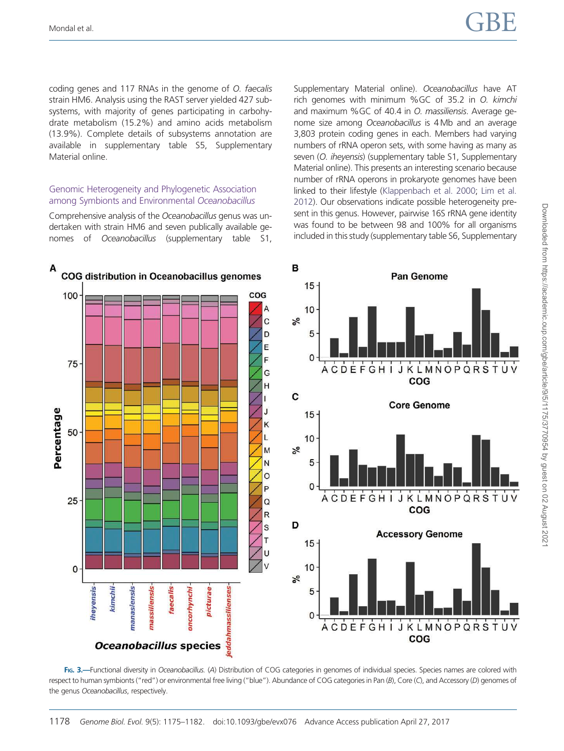coding genes and 117 RNAs in the genome of O. faecalis strain HM6. Analysis using the RAST server yielded 427 subsystems, with majority of genes participating in carbohydrate metabolism (15.2%) and amino acids metabolism (13.9%). Complete details of subsystems annotation are available in supplementary table S5, Supplementary Material online.

#### Genomic Heterogeneity and Phylogenetic Association among Symbionts and Environmental Oceanobacillus

Comprehensive analysis of the Oceanobacillus genus was undertaken with strain HM6 and seven publically available genomes of Oceanobacillus (supplementary table S1, Supplementary Material online). Oceanobacillus have AT rich genomes with minimum %GC of 35.2 in O. kimchi and maximum %GC of 40.4 in O. massiliensis. Average genome size among Oceanobacillus is 4Mb and an average 3,803 protein coding genes in each. Members had varying numbers of rRNA operon sets, with some having as many as seven (O. iheyensis) (supplementary table S1, Supplementary Material online). This presents an interesting scenario because number of rRNA operons in prokaryote genomes have been linked to their lifestyle (Klappenbach et al. 2000; Lim et al. 2012). Our observations indicate possible heterogeneity present in this genus. However, pairwise 16S rRNA gene identity was found to be between 98 and 100% for all organisms included in this study (supplementary table S6, Supplementary



FIG. 3.-Functional diversity in Oceanobacillus. (A) Distribution of COG categories in genomes of individual species. Species names are colored with respect to human symbionts ("red") or environmental free living ("blue"). Abundance of COG categories in Pan (B), Core (C), and Accessory (D) genomes of the genus Oceanobacillus, respectively.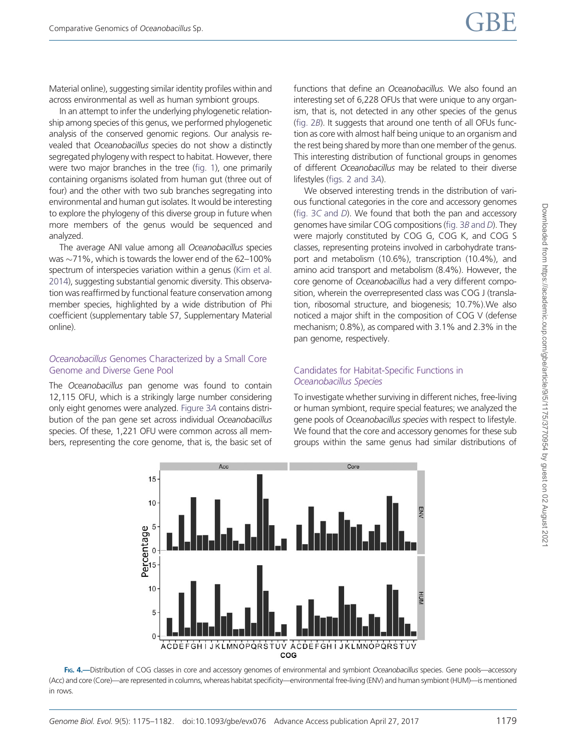Material online), suggesting similar identity profiles within and across environmental as well as human symbiont groups.

In an attempt to infer the underlying phylogenetic relationship among species of this genus, we performed phylogenetic analysis of the conserved genomic regions. Our analysis revealed that Oceanobacillus species do not show a distinctly segregated phylogeny with respect to habitat. However, there were two major branches in the tree (fig. 1), one primarily containing organisms isolated from human gut (three out of four) and the other with two sub branches segregating into environmental and human gut isolates. It would be interesting to explore the phylogeny of this diverse group in future when more members of the genus would be sequenced and analyzed.

The average ANI value among all Oceanobacillus species was  $\sim$ 71%, which is towards the lower end of the 62–100% spectrum of interspecies variation within a genus (Kim et al. 2014), suggesting substantial genomic diversity. This observation was reaffirmed by functional feature conservation among member species, highlighted by a wide distribution of Phi coefficient (supplementary table S7, Supplementary Material online).

#### Oceanobacillus Genomes Characterized by a Small Core Genome and Diverse Gene Pool

The Oceanobacillus pan genome was found to contain 12,115 OFU, which is a strikingly large number considering only eight genomes were analyzed. Figure 3A contains distribution of the pan gene set across individual Oceanobacillus species. Of these, 1,221 OFU were common across all members, representing the core genome, that is, the basic set of functions that define an *Oceanobacillus*. We also found an interesting set of 6,228 OFUs that were unique to any organism, that is, not detected in any other species of the genus (fig. 2B). It suggests that around one tenth of all OFUs function as core with almost half being unique to an organism and the rest being shared by more than one member of the genus. This interesting distribution of functional groups in genomes of different Oceanobacillus may be related to their diverse lifestyles (figs. 2 and 3A).

We observed interesting trends in the distribution of various functional categories in the core and accessory genomes (fig. 3C and D). We found that both the pan and accessory genomes have similar COG compositions (fig. 3B and D). They were majorly constituted by COG G, COG K, and COG S classes, representing proteins involved in carbohydrate transport and metabolism (10.6%), transcription (10.4%), and amino acid transport and metabolism (8.4%). However, the core genome of Oceanobacillus had a very different composition, wherein the overrepresented class was COG J (translation, ribosomal structure, and biogenesis; 10.7%).We also noticed a major shift in the composition of COG V (defense mechanism; 0.8%), as compared with 3.1% and 2.3% in the pan genome, respectively.

## Candidates for Habitat-Specific Functions in Oceanobacillus Species

To investigate whether surviving in different niches, free-living or human symbiont, require special features; we analyzed the gene pools of Oceanobacillus species with respect to lifestyle. We found that the core and accessory genomes for these sub groups within the same genus had similar distributions of



FIG. 4.-Distribution of COG classes in core and accessory genomes of environmental and symbiont Oceanobacillus species. Gene pools-accessory (Acc) and core (Core)—are represented in columns, whereas habitat specificity—environmental free-living (ENV) and human symbiont (HUM)—is mentioned in rows.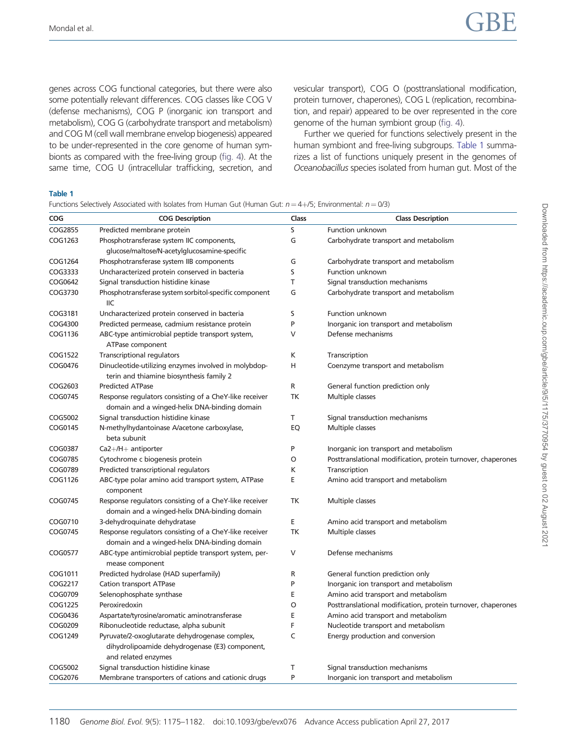genes across COG functional categories, but there were also some potentially relevant differences. COG classes like COG V (defense mechanisms), COG P (inorganic ion transport and metabolism), COG G (carbohydrate transport and metabolism) and COG M (cell wall membrane envelop biogenesis) appeared to be under-represented in the core genome of human symbionts as compared with the free-living group (fig. 4). At the same time, COG U (intracellular trafficking, secretion, and vesicular transport), COG O (posttranslational modification, protein turnover, chaperones), COG L (replication, recombination, and repair) appeared to be over represented in the core genome of the human symbiont group (fig. 4).

Further we queried for functions selectively present in the human symbiont and free-living subgroups. Table 1 summarizes a list of functions uniquely present in the genomes of Oceanobacillus species isolated from human gut. Most of the

#### Table 1

Functions Selectively Associated with Isolates from Human Gut (Human Gut:  $n = 4+75$ ; Environmental:  $n = 0/3$ )

| COG     | <b>COG Description</b>                                                                                                  | Class | <b>Class Description</b>                                     |  |
|---------|-------------------------------------------------------------------------------------------------------------------------|-------|--------------------------------------------------------------|--|
| COG2855 | Predicted membrane protein                                                                                              | S     | Function unknown                                             |  |
| COG1263 | Phosphotransferase system IIC components,                                                                               | G     | Carbohydrate transport and metabolism                        |  |
|         | glucose/maltose/N-acetylglucosamine-specific                                                                            |       |                                                              |  |
| COG1264 | Phosphotransferase system IIB components                                                                                | G     | Carbohydrate transport and metabolism                        |  |
| COG3333 | Uncharacterized protein conserved in bacteria                                                                           | S     | <b>Function unknown</b>                                      |  |
| COG0642 | Signal transduction histidine kinase                                                                                    | T     | Signal transduction mechanisms                               |  |
| COG3730 | Phosphotransferase system sorbitol-specific component<br>IIC                                                            | G     | Carbohydrate transport and metabolism                        |  |
| COG3181 | Uncharacterized protein conserved in bacteria                                                                           | S     | <b>Function unknown</b>                                      |  |
| COG4300 | Predicted permease, cadmium resistance protein                                                                          | P     | Inorganic ion transport and metabolism                       |  |
| COG1136 | ABC-type antimicrobial peptide transport system,<br>ATPase component                                                    | V     | Defense mechanisms                                           |  |
| COG1522 | Transcriptional regulators                                                                                              | К     | Transcription                                                |  |
| COG0476 | Dinucleotide-utilizing enzymes involved in molybdop-<br>terin and thiamine biosynthesis family 2                        | Η     | Coenzyme transport and metabolism                            |  |
| COG2603 | <b>Predicted ATPase</b>                                                                                                 | R     | General function prediction only                             |  |
| COG0745 | Response regulators consisting of a CheY-like receiver<br>domain and a winged-helix DNA-binding domain                  | TK    | Multiple classes                                             |  |
| COG5002 | Signal transduction histidine kinase                                                                                    | Т     | Signal transduction mechanisms                               |  |
| COG0145 | N-methylhydantoinase A/acetone carboxylase,<br>beta subunit                                                             | EQ    | Multiple classes                                             |  |
| COG0387 | $Ca2+/H+$ antiporter                                                                                                    | P     | Inorganic ion transport and metabolism                       |  |
| COG0785 | Cytochrome c biogenesis protein                                                                                         | O     | Posttranslational modification, protein turnover, chaperones |  |
| COG0789 | Predicted transcriptional regulators                                                                                    | К     | Transcription                                                |  |
| COG1126 | ABC-type polar amino acid transport system, ATPase<br>component                                                         | E     | Amino acid transport and metabolism                          |  |
| COG0745 | Response regulators consisting of a CheY-like receiver<br>domain and a winged-helix DNA-binding domain                  | TK    | Multiple classes                                             |  |
| COG0710 | 3-dehydroquinate dehydratase                                                                                            | E     | Amino acid transport and metabolism                          |  |
| COG0745 | Response regulators consisting of a CheY-like receiver<br>domain and a winged-helix DNA-binding domain                  | TK    | Multiple classes                                             |  |
| COG0577 | ABC-type antimicrobial peptide transport system, per-<br>mease component                                                | V     | Defense mechanisms                                           |  |
| COG1011 | Predicted hydrolase (HAD superfamily)                                                                                   | R     | General function prediction only                             |  |
| COG2217 | <b>Cation transport ATPase</b>                                                                                          | P     | Inorganic ion transport and metabolism                       |  |
| COG0709 | Selenophosphate synthase                                                                                                | E     | Amino acid transport and metabolism                          |  |
| COG1225 | Peroxiredoxin                                                                                                           | O     | Posttranslational modification, protein turnover, chaperones |  |
| COG0436 | Aspartate/tyrosine/aromatic aminotransferase                                                                            | Ε     | Amino acid transport and metabolism                          |  |
| COG0209 | Ribonucleotide reductase, alpha subunit                                                                                 | F     | Nucleotide transport and metabolism                          |  |
| COG1249 | Pyruvate/2-oxoglutarate dehydrogenase complex,<br>dihydrolipoamide dehydrogenase (E3) component,<br>and related enzymes | C     | Energy production and conversion                             |  |
| COG5002 | Signal transduction histidine kinase                                                                                    | T     | Signal transduction mechanisms                               |  |
| COG2076 | Membrane transporters of cations and cationic drugs                                                                     | P     | Inorganic ion transport and metabolism                       |  |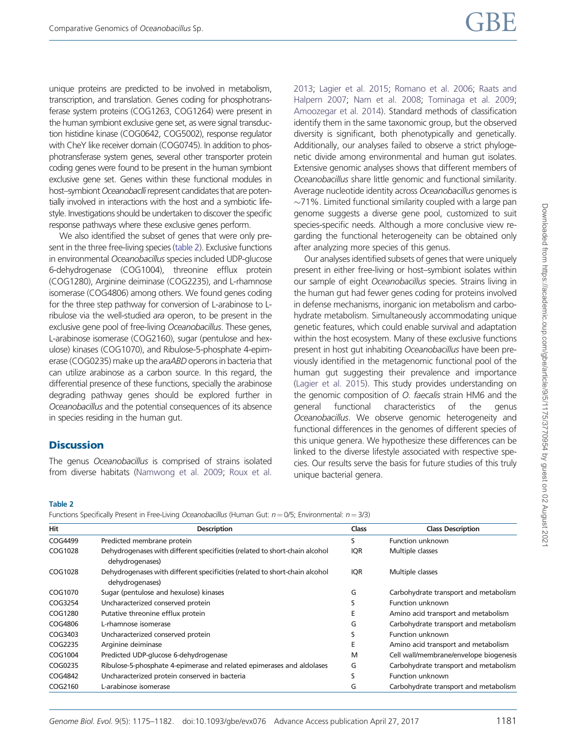unique proteins are predicted to be involved in metabolism, transcription, and translation. Genes coding for phosphotransferase system proteins (COG1263, COG1264) were present in the human symbiont exclusive gene set, as were signal transduction histidine kinase (COG0642, COG5002), response regulator with CheY like receiver domain (COG0745). In addition to phosphotransferase system genes, several other transporter protein coding genes were found to be present in the human symbiont exclusive gene set. Genes within these functional modules in host-symbiont Oceanobaclli represent candidates that are potentially involved in interactions with the host and a symbiotic lifestyle. Investigations should be undertaken to discover the specific response pathways where these exclusive genes perform.

We also identified the subset of genes that were only present in the three free-living species (table 2). Exclusive functions in environmental Oceanobacillus species included UDP-glucose 6-dehydrogenase (COG1004), threonine efflux protein (COG1280), Arginine deiminase (COG2235), and L-rhamnose isomerase (COG4806) among others. We found genes coding for the three step pathway for conversion of L-arabinose to Lribulose via the well-studied ara operon, to be present in the exclusive gene pool of free-living Oceanobacillus. These genes, L-arabinose isomerase (COG2160), sugar (pentulose and hexulose) kinases (COG1070), and Ribulose-5-phosphate 4-epimerase (COG0235) make up the araABD operons in bacteria that can utilize arabinose as a carbon source. In this regard, the differential presence of these functions, specially the arabinose degrading pathway genes should be explored further in Oceanobacillus and the potential consequences of its absence in species residing in the human gut.

## **Discussion**

The genus Oceanobacillus is comprised of strains isolated from diverse habitats (Namwong et al. 2009; Roux et al. 2013; Lagier et al. 2015; Romano et al. 2006; Raats and Halpern 2007; Nam et al. 2008; Tominaga et al. 2009; Amoozegar et al. 2014). Standard methods of classification identify them in the same taxonomic group, but the observed diversity is significant, both phenotypically and genetically. Additionally, our analyses failed to observe a strict phylogenetic divide among environmental and human gut isolates. Extensive genomic analyses shows that different members of Oceanobacillus share little genomic and functional similarity. Average nucleotide identity across Oceanobacillus genomes is  $\sim$ 71%. Limited functional similarity coupled with a large pan genome suggests a diverse gene pool, customized to suit species-specific needs. Although a more conclusive view regarding the functional heterogeneity can be obtained only after analyzing more species of this genus.

Our analyses identified subsets of genes that were uniquely present in either free-living or host–symbiont isolates within our sample of eight Oceanobacillus species. Strains living in the human gut had fewer genes coding for proteins involved in defense mechanisms, inorganic ion metabolism and carbohydrate metabolism. Simultaneously accommodating unique genetic features, which could enable survival and adaptation within the host ecosystem. Many of these exclusive functions present in host gut inhabiting Oceanobacillus have been previously identified in the metagenomic functional pool of the human gut suggesting their prevalence and importance (Lagier et al. 2015). This study provides understanding on the genomic composition of O. faecalis strain HM6 and the general functional characteristics of the genus Oceanobacillus. We observe genomic heterogeneity and functional differences in the genomes of different species of this unique genera. We hypothesize these differences can be linked to the diverse lifestyle associated with respective species. Our results serve the basis for future studies of this truly unique bacterial genera.

#### Table 2

Functions Specifically Present in Free-Living Oceanobacillus (Human Gut:  $n = 0/5$ ; Environmental:  $n = 3/3$ )

| Hit     | <b>Description</b>                                                                             | <b>Class</b> | <b>Class Description</b>               |
|---------|------------------------------------------------------------------------------------------------|--------------|----------------------------------------|
| COG4499 | Predicted membrane protein                                                                     | S            | Function unknown                       |
| COG1028 | Dehydrogenases with different specificities (related to short-chain alcohol<br>dehydrogenases) | <b>IQR</b>   | Multiple classes                       |
| COG1028 | Dehydrogenases with different specificities (related to short-chain alcohol<br>dehydrogenases) | <b>IQR</b>   | Multiple classes                       |
| COG1070 | Sugar (pentulose and hexulose) kinases                                                         | G            | Carbohydrate transport and metabolism  |
| COG3254 | Uncharacterized conserved protein                                                              | S            | Function unknown                       |
| COG1280 | Putative threonine efflux protein                                                              | E            | Amino acid transport and metabolism    |
| COG4806 | L-rhamnose isomerase                                                                           | G            | Carbohydrate transport and metabolism  |
| COG3403 | Uncharacterized conserved protein                                                              | S            | Function unknown                       |
| COG2235 | Arginine deiminase                                                                             | E            | Amino acid transport and metabolism    |
| COG1004 | Predicted UDP-glucose 6-dehydrogenase                                                          | М            | Cell wall/membrane/envelope biogenesis |
| COG0235 | Ribulose-5-phosphate 4-epimerase and related epimerases and aldolases                          | G            | Carbohydrate transport and metabolism  |
| COG4842 | Uncharacterized protein conserved in bacteria                                                  | S            | Function unknown                       |
| COG2160 | L-arabinose isomerase                                                                          | G            | Carbohydrate transport and metabolism  |